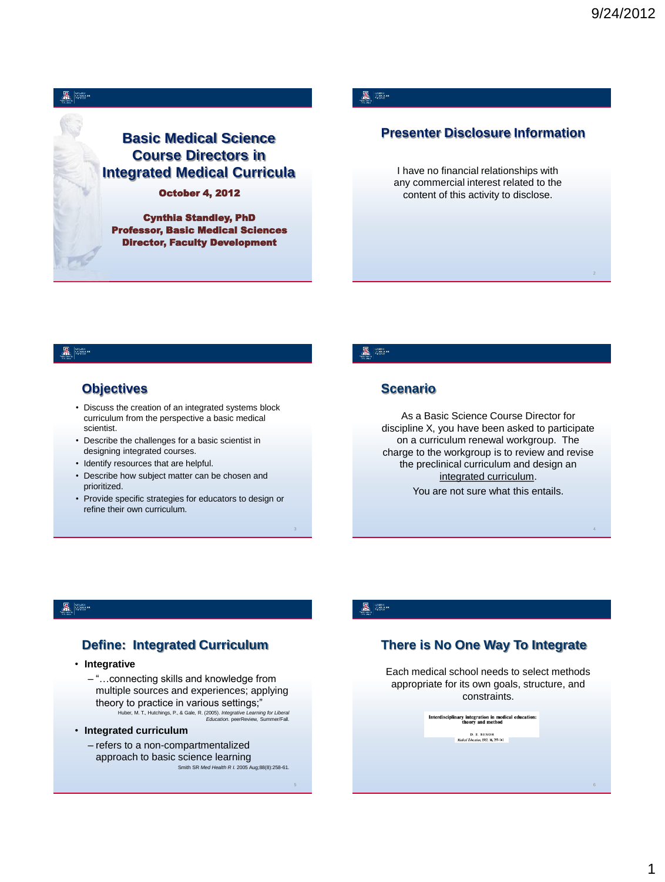

Cynthia Standley, PhD Professor, Basic Medical Sciences Director, Faculty Development

### A 800

### **Presenter Disclosure Information**

I have no financial relationships with any commercial interest related to the content of this activity to disclose.

#### A SI

### **Objectives**

- Discuss the creation of an integrated systems block curriculum from the perspective a basic medical scientist.
- Describe the challenges for a basic scientist in designing integrated courses.
- Identify resources that are helpful.
- Describe how subject matter can be chosen and prioritized.
- Provide specific strategies for educators to design or refine their own curriculum.

#### **星**

### **Scenario**

As a Basic Science Course Director for discipline X, you have been asked to participate on a curriculum renewal workgroup. The charge to the workgroup is to review and revise the preclinical curriculum and design an integrated curriculum. You are not sure what this entails.

#### A Se

### **Define: Integrated Curriculum**

• **Integrative**

- "…connecting skills and knowledge from multiple sources and experiences; applying theory to practice in various settings;" Huber, M. T., Hutchings, P., & Gale, R. (2005). *Integrative Learning for Liberal Education.* peerReview, Summer/Fall.
- **Integrated curriculum**
	- refers to a non-compartmentalized approach to basic science learning Smith SR *Med Health R I.* 2005 Aug;88(8):258-61.

#### A SEX

### **There is No One Way To Integrate**

Each medical school needs to select methods appropriate for its own goals, structure, and constraints.

| D. E. BENOR<br>Medical Education, 1982. 16, 355-361. |  | Interdisciplinary integration in medical education:<br>theory and method |  |
|------------------------------------------------------|--|--------------------------------------------------------------------------|--|
|                                                      |  |                                                                          |  |
|                                                      |  |                                                                          |  |
|                                                      |  |                                                                          |  |

6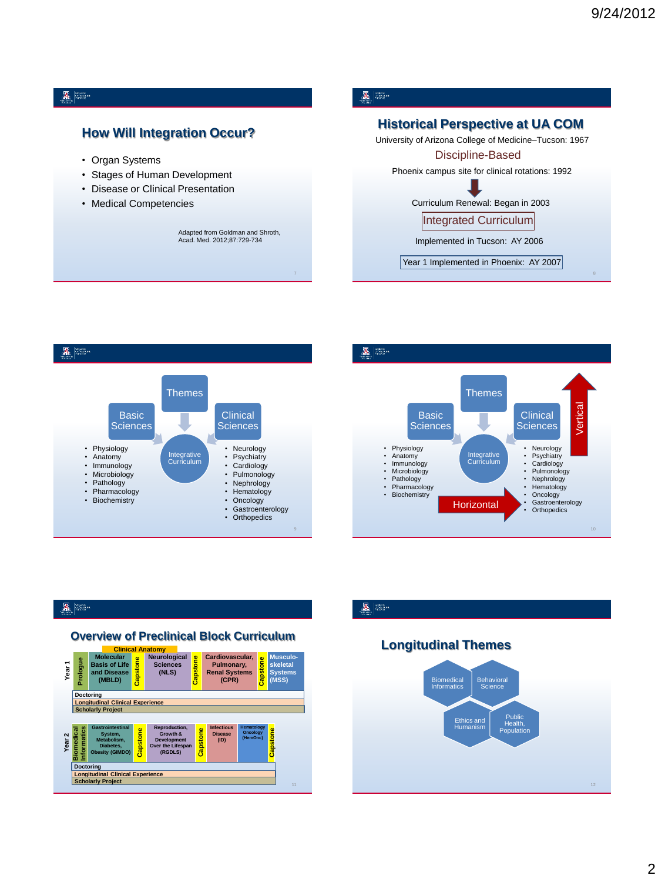#### $\mathbb{Z}$  and

### **How Will Integration Occur?**

- Organ Systems
- Stages of Human Development
- Disease or Clinical Presentation
- Medical Competencies

Adapted from Goldman and Shroth, Acad. Med. 2012;87:729-734

### A **B**

### **Historical Perspective at UA COM**

University of Arizona College of Medicine–Tucson: 1967 Phoenix campus site for clinical rotations: 1992 Curriculum Renewal: Began in 2003 Implemented in Tucson: AY 2006 Year 1 Implemented in Phoenix: AY 2007 Discipline-Based Integrated Curriculum





A Se

### **Overview of Preclinical Block Curriculum**



### $\mathbb{Z}$   $\mathbb{R}$

### **Clinical Anatomy Longitudinal Themes**

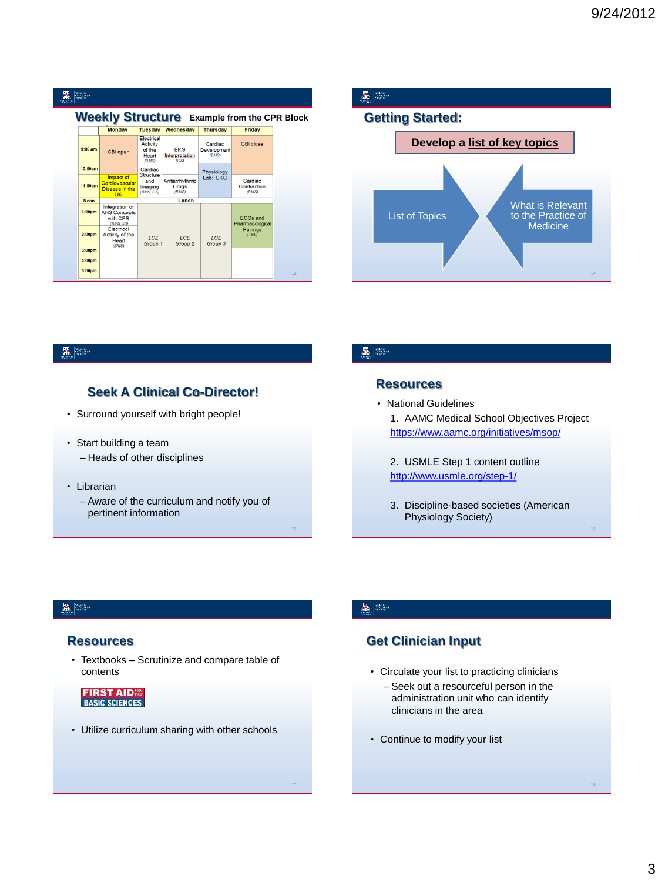### A FORM

#### **Weekly Structure Example from the CPR Block**

|                    | <b>Monday</b>                                                 | <b>Tuesday</b>                                            | Wednesday                               | <b>Thursday</b>                 | Friday                             |
|--------------------|---------------------------------------------------------------|-----------------------------------------------------------|-----------------------------------------|---------------------------------|------------------------------------|
| $9:00$ am          | CBI open                                                      | Electrical<br><b>Activity</b><br>of the<br>Heart<br>(BMS) | <b>EKG</b><br>Interpretation<br>(CS)    | Cardiac<br>Development<br>(BMS) | <b>CBI</b> close                   |
| 10:00am            |                                                               | Cardiac                                                   |                                         | Physiology                      |                                    |
| 11:00am            | Impact of<br>Cardiovascular<br>Disease in the<br><b>US</b>    | Structure<br>and<br>Imaging<br>(BMS, CS)                  | Antiarrhythmic<br><b>Drugs</b><br>(BMS) | Lab: EKG                        | Cardiac<br>Contraction<br>(BMS)    |
| <b>Noon</b>        |                                                               |                                                           | Lunch                                   |                                 |                                    |
| 1:00 <sub>pm</sub> | Integration of<br><b>ANS Concepts</b><br>with CPR<br>(BMS.CS) |                                                           |                                         |                                 | <b>ECGs and</b><br>Pharmacological |
| 2:00 <sub>pm</sub> | Electrical<br>Activity of the<br>Heart<br>(BMS)               | LCE<br>Group 1                                            | LCE<br>Group <sub>2</sub>               | LCE<br>Group 3                  | Pairings<br>(TBL)                  |
| 3:00 <sub>pm</sub> |                                                               |                                                           |                                         |                                 |                                    |
| 4:00 <sub>pm</sub> |                                                               |                                                           |                                         |                                 |                                    |
| 5:00 <sub>pm</sub> |                                                               |                                                           |                                         |                                 |                                    |

# $\mathbb{Z}$   $\mathbb{R}$ **Getting Started: Develop a list of key topics** What is Relevant List of Topics to the Practice of Medicine 14

#### A Se

### **Seek A Clinical Co-Director!**

- Surround yourself with bright people!
- Start building a team – Heads of other disciplines
- Librarian
	- Aware of the curriculum and notify you of pertinent information

#### A SEX

### **Resources**

- National Guidelines
	- 1. AAMC Medical School Objectives Project <https://www.aamc.org/initiatives/msop/>
	- 2. USMLE Step 1 content outline <http://www.usmle.org/step-1/>
	- 3. Discipline-based societies (American Physiology Society)

#### & 88.

#### **Resources**

• Textbooks – Scrutinize and compare table of contents

**FIRST AIDER**<br>BASIC SCIENCES

• Utilize curriculum sharing with other schools

#### A REAL

### **Get Clinician Input**

- Circulate your list to practicing clinicians
	- Seek out a resourceful person in the administration unit who can identify clinicians in the area
- Continue to modify your list

16

3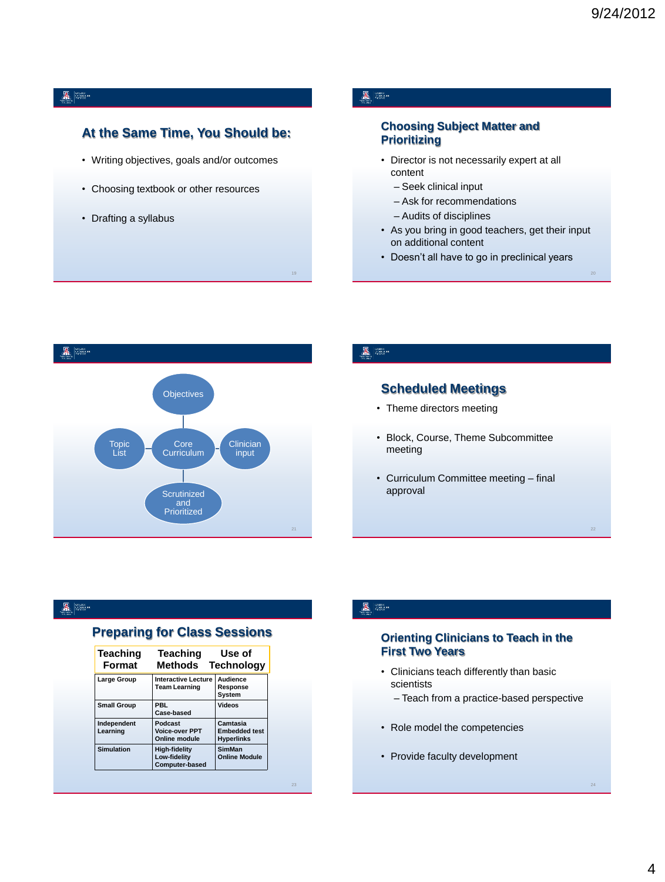### $\mathbb{Z}$   $\mathbb{R}$

### **At the Same Time, You Should be:**

- Writing objectives, goals and/or outcomes
- Choosing textbook or other resources
- Drafting a syllabus

### A Se

#### **Choosing Subject Matter and Prioritizing**

- Director is not necessarily expert at all content
	- Seek clinical input
	- Ask for recommendations
- Audits of disciplines
- As you bring in good teachers, get their input on additional content
- Doesn't all have to go in preclinical years



#### A **SEARCH**

19

### **Scheduled Meetings**

- Theme directors meeting
- Block, Course, Theme Subcommittee meeting
- Curriculum Committee meeting final approval

#### A SEA

### **Preparing for Class Sessions**

| Teaching<br><b>Format</b> | Teaching<br><b>Methods</b>                                    | Use of<br><b>Technology</b>                           |
|---------------------------|---------------------------------------------------------------|-------------------------------------------------------|
| Large Group               | <b>Interactive Lecture</b><br><b>Team Learning</b>            | Audience<br>Response<br>System                        |
| <b>Small Group</b>        | <b>PBL</b><br>Case-based                                      | <b>Videos</b>                                         |
| Independent<br>Learning   | Podcast<br><b>Voice-over PPT</b><br>Online module             | Camtasia<br><b>Embedded test</b><br><b>Hyperlinks</b> |
| <b>Simulation</b>         | <b>High-fidelity</b><br>Low-fidelity<br><b>Computer-based</b> | <b>SimMan</b><br><b>Online Module</b>                 |

#### A REAL

#### **Orienting Clinicians to Teach in the First Two Years**

- Clinicians teach differently than basic scientists
	- Teach from a practice-based perspective
- Role model the competencies
- Provide faculty development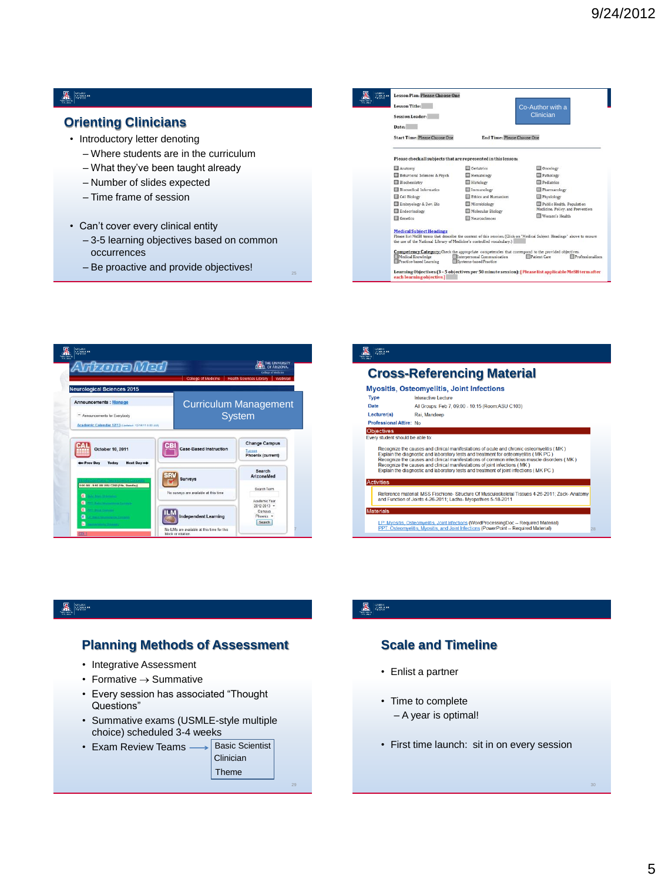#### $\mathbb{Z}$  and

### **Orienting Clinicians**

- Introductory letter denoting
	- Where students are in the curriculum
	- What they've been taught already
	- Number of slides expected
	- Time frame of session
- Can't cover every clinical entity
	- 3-5 learning objectives based on common occurrences
	- Be proactive and provide objectives!

| COLLEGE<br>CYMREIGINN:<br>THOENG<br><b>HILMY!</b><br><b>A Nothing</b> | Lesson Title:<br>Session Leader:<br>Date:<br><b>Start Time: Please Choose One</b>                        | <b>End Time: Please Choose One</b>                    | Co-Author with a<br>Clinician                                                                                                          |
|-----------------------------------------------------------------------|----------------------------------------------------------------------------------------------------------|-------------------------------------------------------|----------------------------------------------------------------------------------------------------------------------------------------|
|                                                                       | Please check all subjects that are represented in this lesson:                                           |                                                       |                                                                                                                                        |
|                                                                       | Anatomy                                                                                                  | <b>Certabrics</b>                                     | Oncology                                                                                                                               |
|                                                                       | Behavioral Sciences & Psych                                                                              | Hematology                                            | Pathology                                                                                                                              |
|                                                                       | <b>Biochemistry</b>                                                                                      | <b>Histology</b>                                      | Pediatrics                                                                                                                             |
|                                                                       | <b>Biomedical Informatics</b>                                                                            | Immunology                                            | Pharmacology                                                                                                                           |
|                                                                       | Cell Biology                                                                                             | Ethics and Humanism                                   | Physiology                                                                                                                             |
|                                                                       | Embryology & Dev. Bio                                                                                    | Microbiology                                          | Public Health, Population                                                                                                              |
|                                                                       | Endocrinology                                                                                            | Molecular Biology                                     | Medicine, Policy, and Prevention                                                                                                       |
|                                                                       | Genetics                                                                                                 | Neurosciences                                         | Women's Health                                                                                                                         |
|                                                                       | <b>Medical Subject Headings</b><br>the use of the National Library of Medicine's controlled vocabulary.) |                                                       | Please list MeSH terms that describe the content of this session. (Click on "Medical Subject Headings" above to ensure                 |
|                                                                       | Medical Knowledge<br>Practice-based Learning                                                             | Interpersonal Communication<br>Systems-based Practice | Competency Category; Check the appropriate competencies that correspond to the provided objectives.<br>Patient Care<br>Professionalism |
|                                                                       | each learning objective.]                                                                                |                                                       | Learning Objectives (3 - 5 objectives per 50 minute session): [Please list applicable MeSH term after                                  |

![](_page_4_Picture_12.jpeg)

#### A Str **Cross-Referencing Material** Myositis, Osteomyelitis, Joint Infections **Type Interactive Lecture** Date All Groups: Feb 7, 09:00 - 10:15 (Room:ASU C103) Lecturer(s) Rai, Mandeep Professional Attire: No Objectives Every student should be able to: Recognize the causes and clinical manifestations of acute and chronic osteomyeltis ( MK )<br>Explain the diagnostic and aboratory tests and the<br>atmosphase (MK PC) Recognize the causes and clinical manifestations of common in Ac Reference material: MSS Fischione- Structure Of Musculoskeletal Tissues 4-26-2011; Zack- Anatom<br>and Function of Joints 4-26-2011; Ladha- Myopathies 5-18-2011 Mat LP: Myositis, Osteomyeltis, Joint Infections (WordProcessingDoc -- Required Material)<br>PPT: Osteomyelitis, Myositis, and Joint Infections (PowerPoint -- Required Material)

#### A Sec

#### **Planning Methods of Assessment**

- Integrative Assessment
- Formative  $\rightarrow$  Summative
- Every session has associated "Thought Questions"
- Summative exams (USMLE-style multiple choice) scheduled 3-4 weeks

| • Exam Review Teams - | <b>Basic Scientist</b> |  |
|-----------------------|------------------------|--|
|                       | <b>Clinician</b>       |  |
|                       | Theme                  |  |
|                       |                        |  |

#### A **SEARCH**

### **Scale and Timeline**

- Enlist a partner
- Time to complete – A year is optimal!
- First time launch: sit in on every session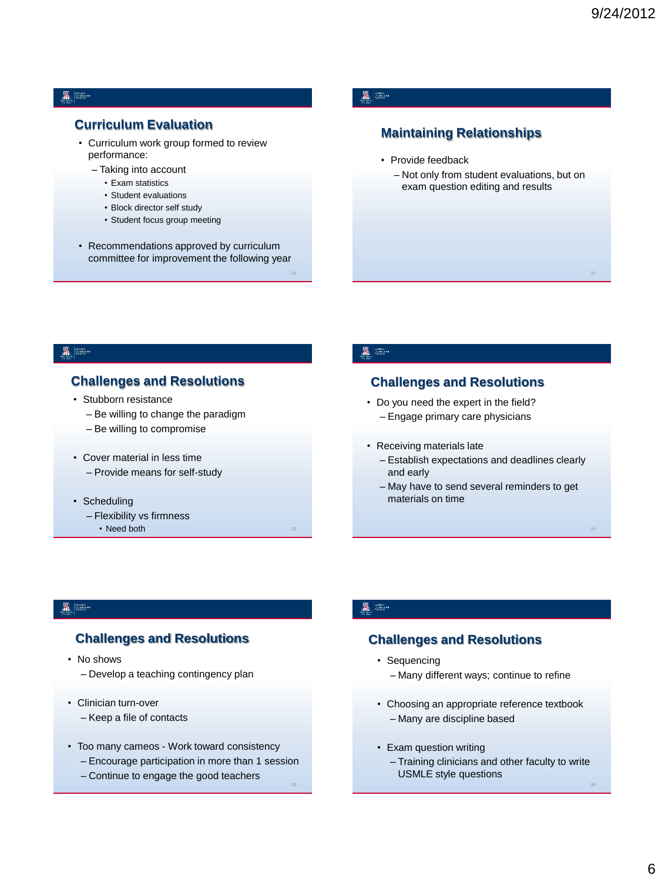#### 图 ▒▒

### **Curriculum Evaluation**

- Curriculum work group formed to review performance:
	- Taking into account
		- Exam statistics
		- Student evaluations
		- Block director self study
		- Student focus group meeting
- Recommendations approved by curriculum committee for improvement the following year

### A 800

### **Maintaining Relationships**

- Provide feedback
	- Not only from student evaluations, but on exam question editing and results

#### A Se

### **Challenges and Resolutions**

- Stubborn resistance
	- Be willing to change the paradigm
	- Be willing to compromise
- Cover material in less time – Provide means for self-study
- Scheduling
	- Flexibility vs firmness
		- $\cdot$  Need both

#### A **SHOP**

### **Challenges and Resolutions**

- Do you need the expert in the field? – Engage primary care physicians
- Receiving materials late
	- Establish expectations and deadlines clearly and early
	- May have to send several reminders to get materials on time

#### CRUSCE<br>CRIMEDIENA<br>PICANOR

#### **Challenges and Resolutions**

- No shows – Develop a teaching contingency plan
- Clinician turn-over
	- Keep a file of contacts
- Too many cameos Work toward consistency
	- Encourage participation in more than 1 session
	- Continue to engage the good teachers

#### **墨 圖**

### **Challenges and Resolutions**

- Sequencing
	- Many different ways; continue to refine
- Choosing an appropriate reference textbook – Many are discipline based
- Exam question writing
	- Training clinicians and other faculty to write USMLE style questions